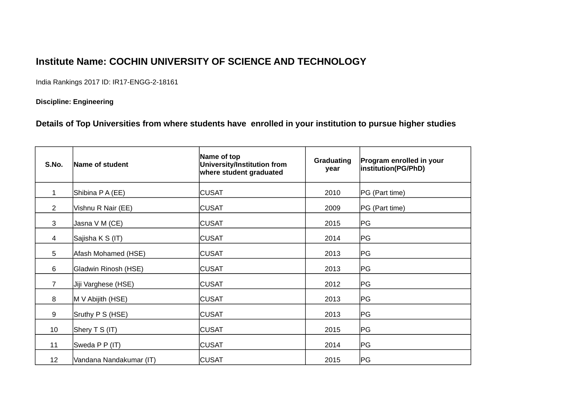## **Institute Name: COCHIN UNIVERSITY OF SCIENCE AND TECHNOLOGY**

India Rankings 2017 ID: IR17-ENGG-2-18161

**Discipline: Engineering**

**Details of Top Universities from where students have enrolled in your institution to pursue higher studies**

| S.No.          | Name of student         | Name of top<br>University/Institution from<br>where student graduated | Graduating<br>year | Program enrolled in your<br>institution(PG/PhD) |
|----------------|-------------------------|-----------------------------------------------------------------------|--------------------|-------------------------------------------------|
| $\mathbf{1}$   | Shibina P A (EE)        | <b>CUSAT</b>                                                          | 2010               | PG (Part time)                                  |
| $\overline{2}$ | Vishnu R Nair (EE)      | <b>CUSAT</b>                                                          | 2009               | PG (Part time)                                  |
| 3              | Jasna V M (CE)          | <b>CUSAT</b>                                                          | 2015               | PG                                              |
| 4              | Sajisha K S (IT)        | <b>CUSAT</b>                                                          | 2014               | PG                                              |
| 5              | Afash Mohamed (HSE)     | <b>CUSAT</b>                                                          | 2013               | PG                                              |
| 6              | Gladwin Rinosh (HSE)    | <b>CUSAT</b>                                                          | 2013               | PG                                              |
| $\overline{7}$ | Jiji Varghese (HSE)     | <b>CUSAT</b>                                                          | 2012               | PG                                              |
| 8              | M V Abijith (HSE)       | <b>CUSAT</b>                                                          | 2013               | PG                                              |
| 9              | Sruthy P S (HSE)        | <b>CUSAT</b>                                                          | 2013               | PG                                              |
| 10             | Shery T S (IT)          | <b>CUSAT</b>                                                          | 2015               | PG                                              |
| 11             | Sweda P P (IT)          | <b>CUSAT</b>                                                          | 2014               | PG                                              |
| 12             | Vandana Nandakumar (IT) | <b>CUSAT</b>                                                          | 2015               | PG                                              |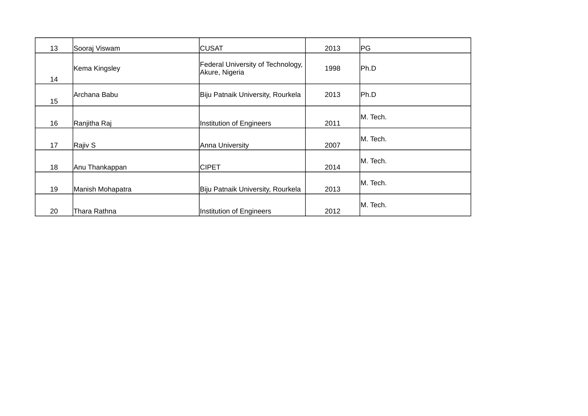| 13 | Sooraj Viswam    | <b>CUSAT</b>                                        | 2013 | PG       |
|----|------------------|-----------------------------------------------------|------|----------|
| 14 | Kema Kingsley    | Federal University of Technology,<br>Akure, Nigeria | 1998 | Ph.D     |
| 15 | Archana Babu     | Biju Patnaik University, Rourkela                   | 2013 | Ph.D     |
| 16 | Ranjitha Raj     | Institution of Engineers                            | 2011 | M. Tech. |
| 17 | Rajiv S          | Anna University                                     | 2007 | M. Tech. |
| 18 | Anu Thankappan   | <b>CIPET</b>                                        | 2014 | M. Tech. |
| 19 | Manish Mohapatra | Biju Patnaik University, Rourkela                   | 2013 | M. Tech. |
| 20 | Thara Rathna     | Institution of Engineers                            | 2012 | M. Tech. |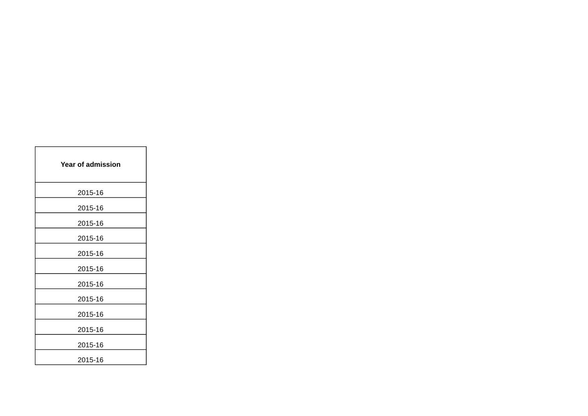| <b>Year of admission</b> |
|--------------------------|
| 2015-16                  |
| 2015-16                  |
| 2015-16                  |
| 2015-16                  |
| 2015-16                  |
| 2015-16                  |
| 2015-16                  |
| 2015-16                  |
| 2015-16                  |
| 2015-16                  |
| 2015-16                  |
| 2015-16                  |